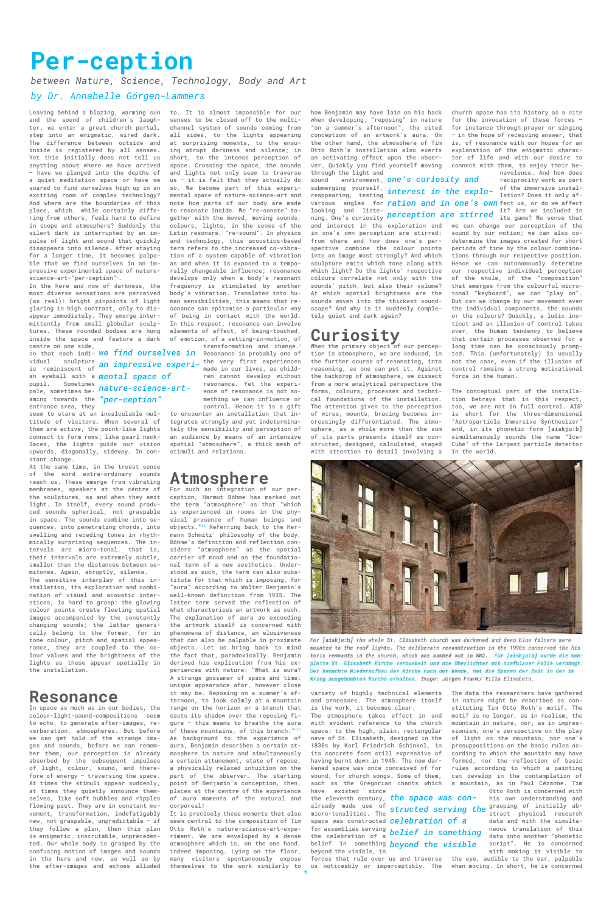6



For [aiskju:b] the whole St. Elisabeth church was darkened and deep blue filters were mounted to the roof lights. The deliberate reconstruction in the 1990s conserved the historic remnants in the church, which was bombed out in WW2. Für [aiskju:b] wurde die komplette St. Elisabeth Kirche verdunkelt und die Oberlichter mit tiefblauer Folie verhängt. Der bedachte Wiederaufbau der Kirche nach der Wende, hat die Spuren der Zeit in der im Krieg ausgebombten Kirche erhalten. Image: Jürgen Frank/ Villa Elisabeth.

# **Per-ception**

*between Nature, Science, Technology, Body and Art* 

#### *by Dr. Annabelle Görgen-Lammers*

Leaving behind a blazing, warming sun and the sound of children's laughter, we enter a great church portal, step into an enigmatic, wired dark. The difference between outside and inside is registered by all senses. Yet this initially does not tell us anything about where we have arrived – have we plunged into the depths of a quiet meditation space or have we soared to find ourselves high up in an exciting room of complex technology? And where are the boundaries of this place, which, while certainly differing from others, feels hard to define in scope and atmosphere? Suddenly the silent dark is interrupted by an impulse of light and sound that quickly disappears into silence. After staying for a longer time, it becomes palpable that we find ourselves in an impressive experimental space of naturescience-art-"per-ception"*\**.

In the here and now of darkness, the most diverse sensations are perceived (as real): bright pinpoints of light glaring in high contrast, only to disappear immediately. They emerge intermittently from small globular sculptures. These rounded bodies are hung inside the space and feature a dark centre on one side,

so that each indi-*we find ourselves in*  vidual sculpture is reminiscent of an eyeball with a *mental space of*  pupil. Sometimes pale, sometimes be-*nature-science-art* aming towards the *"per-ception"*  entrance area, they

seem to stare at an incalculable multitude of visitors. When several of them are active, the point-like lights connect to form rows; like pearl necklaces, the lights guide our vision upwards, diagonally, sideway. In constant change.

At the same time, in the truest sense of the word extra-ordinary sounds reach us. These emerge from vibrating membranes, speakers at the centre of the sculptures, as and when they emit light. In itself, every sound produced sounds spherical, not graspable in space. The sounds combine into sequences, into penetrating chords, into swelling and receding tones in rhythmically surprising sequences. The intervals are micro-tonal, that is, their intervals are extremely subtle, smaller than the distances between semitones. Again, abruptly, silence.

The sensitive interplay of this installation, its exploration and combination of visual and acoustic interstices, is hard to grasp: the glowing colour points create fleeting spatial images accompanied by the constantly changing sounds; the latter generically belong to the former, for in tone colour, pitch and spatial appearance, they are coupled to the colour values and the brightness of the lights as these appear spatially in the installation.

#### **Resonance**

In space as much as in our bodies, the colour-light-sound-compositions seem to echo, to generate after-images, reverberation, atmospheres. But before we can get hold of the strange images and sounds, before we can remember them, our perception is already absorbed by the subsequent impulses of light, colour, sound, and therefore of energy – traversing the space. At times the stimuli appear suddenly, at times they quietly announce themselves, like soft bubbles and ripples flowing past. They are in constant movement, transformation, indefatigably new, not graspable, unpredictable – if they follow a plan, then this plan is enigmatic, inscrutable, unprecedented. Our whole body is grasped by the confusing motion of images and sounds in the here and now, as well as by the after-images and echoes alluded

It is precisely these moments that also seem central to the composition of Tim Otto Roth's nature-science-art-experiment. We are enveloped by a dense atmosphere which is, on the one hand, indeed imposing. Lying on the floor, many visitors spontaneously expose themselves to the work similarly to us noticeably or imperceptibly. The when moving. In short, he is concerned

sound environment, *one's curiosity and*  submerging yourself, reappearing, testing various angles for <mark>ration and in one's own</mark>fect us, or do we affect looking and listening. One's curiosity interest in the explo- of the immersive instal-<br>ation? Does it only af-

to. It is almost impossible for our senses to be closed off to the multichannel system of sounds coming from all sides, to the lights appearing at surprising moments, to the ensuing abrupt darkness and silence; in short, to the intense perception of space. Crossing the space, the sounds and lights not only seem to traverse us – it is felt that they actually do so. We become part of this experimental space of nature-science-art and note how parts of our body are made to resonate inside. We "re-sonate" together with the moved, moving sounds, colours, lights, in the sense of the Latin resonare, "re-sound". In physics and technology, this acoustics-based term refers to the increased co-vibration of a system capable of vibration as and when it is exposed to a temporally changeable influence; resonance develops only when a body's resonant frequency is stimulated by another body's vibration. Translated into human sensibilities, this means that resonance can epitomise a particular way of being in contact with the world. In this respect, resonance can involve elements of affect, of being-touched, of emotion, of a setting-in-motion, of

When the primary object of our perception is atmosphere, we are seduced, in the further course of resonating, into reasoning, as one can put it. Against the backdrop of atmosphere, we dissect from a more analytical perspective the forms, colours, processes and technical foundations of the installation. The attention given to the perception of wires, mounts, bracing becomes increasingly differentiated. The atmosphere, as a whole more than the sum of its parts presents itself as constructed, designed, calculated, staged with attention to detail involving a

nevolence. And how does reciprocity work as part of the immersive instalit? Are we included in perception are stirred it are we included in

transformation and change.i Resonance is probably one of the very first experiences an impressive experi- <sup>the very first experiences</sup><br>and in our lives, as children cannot develop without resonance. Yet the experience of resonance is not something we can influence or control. Hence it is a gift to encounter an installation that integrates strongly and yet indeterminately the sensibility and perception of an audience by means of an intensive

spatial "atmosphere", a thick mesh of

stimuli and relations.

## **Atmosphere**

For such an integration of our perception, Harmut Böhme has marked out the term "atmosphere" as that "which is experienced in rooms in the physical presence of human beings and objects."ii Referring back to the Hermann Schmitz' philosophy of the body, Böhme's definition and reflection considers "atmosphere" as the spatial carrier of mood and as the foundational term of a new aesthetics. Understood as such, the term can also substitute for that which is imposing, for "aura" according to Walter Benjamin's well-known definition from 1935. The latter term served the reflection of what characterises an artwork as such. The explanation of aura as exceeding the artwork itself is concerned with phenomena of distance, an elusiveness that can also be palpable in proximate objects. Let us bring back to mind the fact that, paradoxically, Benjamin derived his explication from his experiences with nature: "What is aura? A strange gossamer of space and time: unique appearance afar, however close it may be. Reposing on a summer's afternoon, to look calmly at a mountain range on the horizon or a branch that casts its shadow over the reposing figure – this means to breathe the aura of these mountains, of this branch."iii As background to the experience of aura, Benjamin describes a certain atmosphere in nature and simultaneously a certain attunement, state of repose, a physically relaxed intuition on the part of the observer. The starting point of Benjamin's conception, then, places at the centre of the experience of aura moments of the natural and corporeal!

how Benjamin may have lain on his back when developing, "reposing" in nature "on a summer's afternoon", the cited conception of an artwork's aura. On the other hand, the atmosphere of Tim Otto Roth's installation also exerts an activating effect upon the observer. Quickly you find yourself moving through the light and

and interest in the exploration and we can change our perception of the in one's own perception are stirred: from where and how does one's perspective combine the colour points into an image most strongly? And which sculpture emits which tone along with which light? Do the lights' respective colours correlate not only with the sounds' pitch, but also their volume? At which spatial brightness are the sounds woven into the thickest soundscape? And why is it suddenly completely quiet and dark again?

# **Curiosity**

variety of highly technical elements The data the researchers have gathered and processes. The atmosphere itself is the work, it becomes clear.

The atmosphere takes effect in and with evident reference to the church space: to the high, plain, rectangular nave of St. Elisabeth, designed in the 1830s by Karl Friedrich Schinkel, in its concrete form still expressive of having burnt down in 1945. The now darkened space was once conceived of for sound, for church songs. Some of them, such as the Gregorian chants which have existed since

the eleventh century, *the space was con*already made use of grasping of initially ab-*structed serving the*  micro-tonalities. The space was constructed *celebration of a*  for assemblies serving the celebration of a *belief in something*  belief in something *beyond the visible*beyond the visible, in

forces that rule over us and traverse the eye, audible to the ear, palpable

church space has its history as a site for the invocation of these forces – for instance through prayer or singing – in the hope of receiving answer, that is, of resonance with our hopes for an explanation of the enigmatic character of life and with our desire to connect with them, to enjoy their be-

sound by our motion; we can also codetermine the images created for short periods of time by the colour combinations through our respective position. Hence we can autonomously determine our respective individual perception of the whole, of the "composition" that emerges from the colourful microtonal "keyboard", we can "play on". But can we change by our movement even the individual components, the sounds or the colours? Quickly, a ludic instinct and an illusion of control takes over, the human tendency to believe that certain processes observed for a long time can be consciously prompted. This (unfortunately) is usually not the case, even if the illusion of control remains a strong motivational force in the human.

The conceptual part of the installation betrays that in this respect, too, we are not in full control. **AIS3** is short for the three-dimensional "Astroparticle Immersive Synthesizer" and, in its phonetic form **[aiskju:b]** simultaneously sounds the name "Ice-Cube" of the largest particle detector in the world.



in nature might be described as constituting Tim Otto Roth's motif. The motif is no longer, as in realism, the mountain in nature, nor, as in impressionism, one's perspective on the play of light on the mountain, nor one's presuppositions on the basic rules according to which the mountain may have formed, nor the reflection of basic rules according to which a painting can develop in the contemplation of a mountain, as in Paul Cézanne. Tim

Otto Roth is concerned with his own understanding and stract physical research data and with the simultaneous translation of this data into another "phonetic script". He is concerned with making it visible to